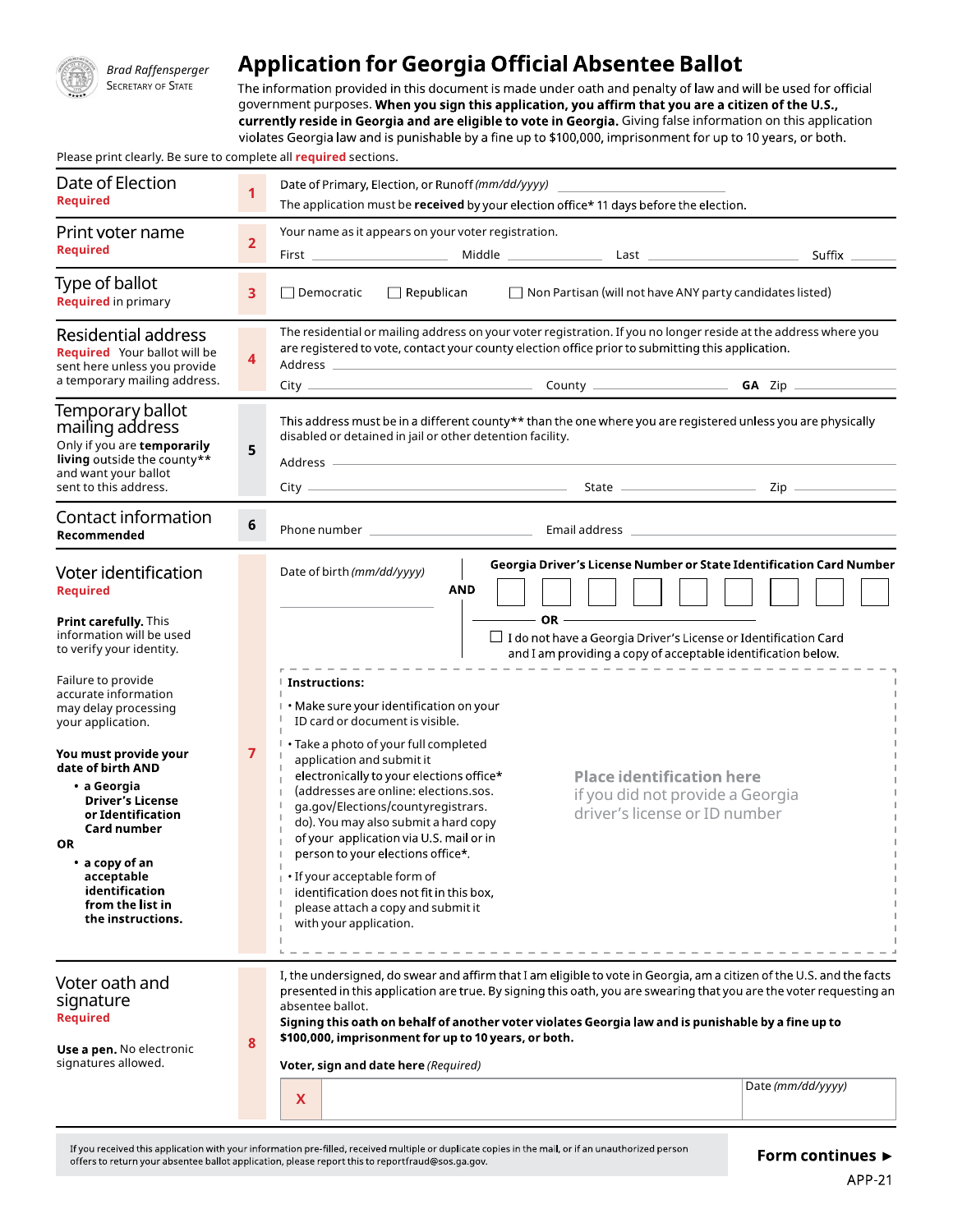

# **Brad Raffensperger** Application for Georgia Official Absentee Ballot

SECRETARY OF STATE The information provided in this document is made under oath and penalty of law and will be used for official government purposes. When you sign this application, you affirm that you are a citizen of the U.S., currently reside in Georgia and are eligible to vote in Georgia. Giving false information on this application<br>violates Georgia law and is punishable by a fine up to \$100,000, imprisonment for up to 10 years, or both.

Please print clearly. Be sure to complete all **required** sections.

| Date of Election<br><b>Required</b>                                                                                                                                                                                                                                                                                               | 1              | Date of Primary, Election, or Runoff (mm/dd/yyyy)<br>The application must be received by your election office* 11 days before the election.                                                                                                                                                                                                                                                                                                                                                                                                                                                                                                                                   |  |  |  |  |  |  |  |
|-----------------------------------------------------------------------------------------------------------------------------------------------------------------------------------------------------------------------------------------------------------------------------------------------------------------------------------|----------------|-------------------------------------------------------------------------------------------------------------------------------------------------------------------------------------------------------------------------------------------------------------------------------------------------------------------------------------------------------------------------------------------------------------------------------------------------------------------------------------------------------------------------------------------------------------------------------------------------------------------------------------------------------------------------------|--|--|--|--|--|--|--|
| Print voter name<br><b>Required</b>                                                                                                                                                                                                                                                                                               | $\overline{2}$ | Your name as it appears on your voter registration.<br>Suffix ______                                                                                                                                                                                                                                                                                                                                                                                                                                                                                                                                                                                                          |  |  |  |  |  |  |  |
| Type of ballot<br><b>Required</b> in primary                                                                                                                                                                                                                                                                                      | 3              | □ Non Partisan (will not have ANY party candidates listed)<br>$\Box$ Republican<br>$\Box$ Democratic                                                                                                                                                                                                                                                                                                                                                                                                                                                                                                                                                                          |  |  |  |  |  |  |  |
| Residential address<br><b>Required</b> Your ballot will be<br>sent here unless you provide<br>a temporary mailing address.                                                                                                                                                                                                        | 4              | The residential or mailing address on your voter registration. If you no longer reside at the address where you<br>are registered to vote, contact your county election office prior to submitting this application.                                                                                                                                                                                                                                                                                                                                                                                                                                                          |  |  |  |  |  |  |  |
| Temporary ballot<br>mailing address<br>Only if you are temporarily<br>living outside the county**<br>and want your ballot<br>sent to this address.                                                                                                                                                                                | 5              | This address must be in a different county** than the one where you are registered unless you are physically<br>disabled or detained in jail or other detention facility.<br>Address —                                                                                                                                                                                                                                                                                                                                                                                                                                                                                        |  |  |  |  |  |  |  |
| Contact information<br>Recommended                                                                                                                                                                                                                                                                                                | $6\phantom{a}$ |                                                                                                                                                                                                                                                                                                                                                                                                                                                                                                                                                                                                                                                                               |  |  |  |  |  |  |  |
| Voter identification<br><b>Required</b>                                                                                                                                                                                                                                                                                           |                | Georgia Driver's License Number or State Identification Card Number<br>Date of birth (mm/dd/yyyy)<br><b>AND</b>                                                                                                                                                                                                                                                                                                                                                                                                                                                                                                                                                               |  |  |  |  |  |  |  |
| <b>Print carefully.</b> This<br>information will be used<br>to verify your identity.                                                                                                                                                                                                                                              |                | $\Box$ I do not have a Georgia Driver's License or Identification Card<br>and I am providing a copy of acceptable identification below.                                                                                                                                                                                                                                                                                                                                                                                                                                                                                                                                       |  |  |  |  |  |  |  |
| Failure to provide<br>accurate information<br>may delay processing<br>your application.<br>You must provide your<br>date of birth AND<br>• a Georgia<br><b>Driver's License</b><br>or Identification<br>Card number<br><b>OR</b><br>$\cdot$ a copy of an<br>acceptable<br>identification<br>from the list in<br>the instructions. | 7              | ∣ Instructions:<br>I . Make sure your identification on your<br>ID card or document is visible.<br>• Take a photo of your full completed<br>application and submit it<br>electronically to your elections office*<br><b>Place identification here</b><br>(addresses are online: elections.sos.<br>if you did not provide a Georgia<br>ga.gov/Elections/countyregistrars.<br>driver's license or ID number<br>do). You may also submit a hard copy<br>of your application via U.S. mail or in<br>person to your elections office*.<br>• If your acceptable form of<br>identification does not fit in this box,<br>please attach a copy and submit it<br>with your application. |  |  |  |  |  |  |  |
| Voter oath and<br>signature<br><b>Required</b><br>Use a pen. No electronic<br>signatures allowed.                                                                                                                                                                                                                                 | 8              | I, the undersigned, do swear and affirm that I am eligible to vote in Georgia, am a citizen of the U.S. and the facts<br>presented in this application are true. By signing this oath, you are swearing that you are the voter requesting an<br>absentee ballot.<br>Signing this oath on behalf of another voter violates Georgia law and is punishable by a fine up to<br>\$100,000, imprisonment for up to 10 years, or both.<br>Voter, sign and date here (Required)<br>Date (mm/dd/yyyy)<br>X                                                                                                                                                                             |  |  |  |  |  |  |  |
|                                                                                                                                                                                                                                                                                                                                   |                |                                                                                                                                                                                                                                                                                                                                                                                                                                                                                                                                                                                                                                                                               |  |  |  |  |  |  |  |

If you received this application with your information pre-filled, received multiple or duplicate copies in the mail, or if an unauthorized person offers to return your absentee ballot application, please report this to reportfraud@sos.ga.gov.

Form continues ►